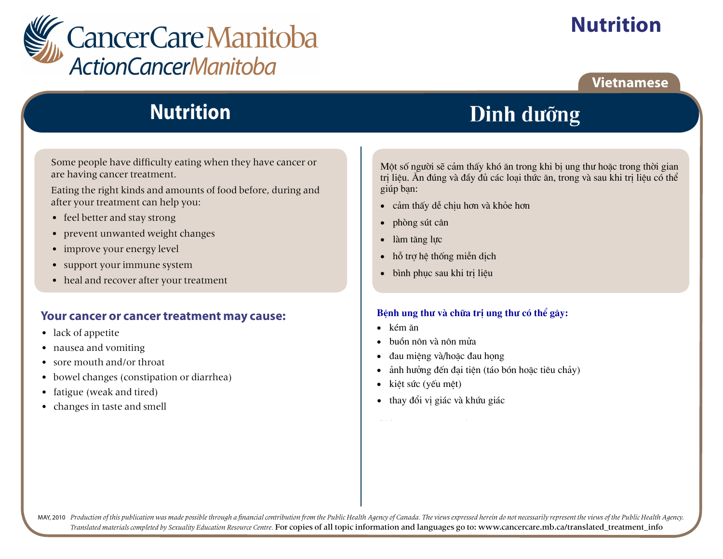

# **Nutrition**

### **Vietnamese**

## **Nutrition**

Some people have difficulty eating when they have cancer or are having cancer treatment.

Eating the right kinds and amounts of food before, during and after your treatment can help you:

- feel better and stay strong
- prevent unwanted weight changes  $\bullet$
- improve your energy level
- support your immune system
- heal and recover after your treatment

#### Your cancer or cancer treatment may cause:

- lack of appetite
- nausea and vomiting
- $\bullet$  sore mouth and/or throat
- bowel changes (constipation or diarrhea)
- fatigue (weak and tired)
- changes in taste and smell

Dinh dưỡng

Một số người sẽ cảm thấy khó ăn trong khi bị ung thư hoặc trong thời gian tri liêu. Ăn đúng và đầy đủ các loại thức ăn, trong và sau khi tri liêu có thể giúp ban:

- · cảm thấy dễ chiu hơn và khỏe hơn
- phòng sút cân  $\bullet$
- làm tăng lưc  $\bullet$
- hỗ trơ hệ thống miễn dịch  $\bullet$
- bình phục sau khi tri liệu  $\bullet$

#### Bênh ung thư và chữa tri ung thư có thể gây:

- $\bullet$  kém ăn
- buồn nôn và nôn mửa
- đau miệng và/hoặc đau họng
- ảnh hưởng đến đai tiên (táo bón hoặc tiêu chảy)
- kiêt sức (yếu mêt)  $\bullet$
- thay đổi vi giác và khứu giác  $\bullet$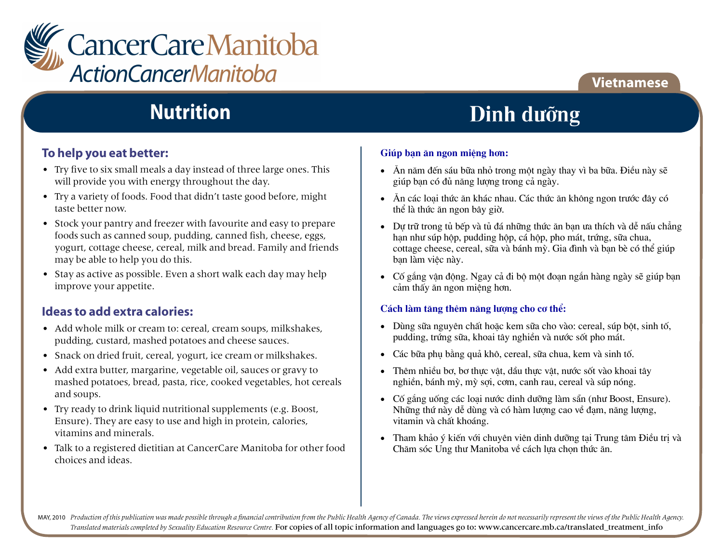

### **Vietnamese**

## **Nutrition**

### To help you eat better:

- Try five to six small meals a day instead of three large ones. This will provide you with energy throughout the day.
- Try a variety of foods. Food that didn't taste good before, might taste better now
- Stock your pantry and freezer with favourite and easy to prepare foods such as canned soup, pudding, canned fish, cheese, eggs, vogurt, cottage cheese, cereal, milk and bread. Family and friends may be able to help you do this.
- Stay as active as possible. Even a short walk each day may help improve your appetite.

### Ideas to add extra calories:

- Add whole milk or cream to: cereal, cream soups, milkshakes, pudding, custard, mashed potatoes and cheese sauces.
- Snack on dried fruit, cereal, yogurt, ice cream or milkshakes.
- Add extra butter, margarine, vegetable oil, sauces or gravy to mashed potatoes, bread, pasta, rice, cooked vegetables, hot cereals and soups.
- Try ready to drink liquid nutritional supplements (e.g. Boost, Ensure). They are easy to use and high in protein, calories, vitamins and minerals.
- Talk to a registered dietitian at CancerCare Manitoba for other food choices and ideas.

## Dinh dưỡng

#### Giúp bạn ăn ngon miệng hơn:

- Ăn năm đến sáu bữa nhỏ trong một ngày thay vì ba bữa. Điều này sẽ giúp ban có đủ năng lương trong cả ngày.
- Ăn các loai thức ăn khác nhau. Các thức ăn không ngon trước đây có thể là thức ăn ngon bây giờ.
- Dư trữ trong tủ bếp và tủ đá những thức ăn ban ưa thích và dễ nấu chẳng han như súp hộp, pudding hộp, cá hộp, pho mát, trứng, sữa chua, cottage cheese, cereal, sữa và bánh mỳ. Gia đình và ban bè có thể giúp ban làm việc này.
- Cố gắng vân động. Ngay cả đi bộ một đoan ngắn hàng ngày sẽ giúp ban cảm thấy ăn ngon miệng hơn.

#### Cách làm tăng thêm năng lương cho cơ thể:

- Dùng sữa nguyên chất hoặc kem sữa cho vào: cereal, súp bôt, sinh tố, pudding, trứng sữa, khoai tây nghiền và nước sốt pho mát.
- Các bữa phu bằng quả khô, cereal, sữa chua, kem và sinh tố.
- Thêm nhiều bơ, bơ thực vật, dầu thực vật, nước sốt vào khoai tây nghiền, bánh mỳ, mỳ sơi, cơm, canh rau, cereal và súp nóng.
- Cố gắng uống các loại nước dinh dưỡng làm sẵn (như Boost, Ensure). Những thứ này dễ dùng và có hàm lượng cao về đam, năng lượng, vitamin và chất khoáng.
- Tham khảo ý kiến với chuyên viên dinh dưỡng tai Trung tâm Điều tri và Chăm sóc Ung thư Manitoba về cách lưa chọn thức ăn.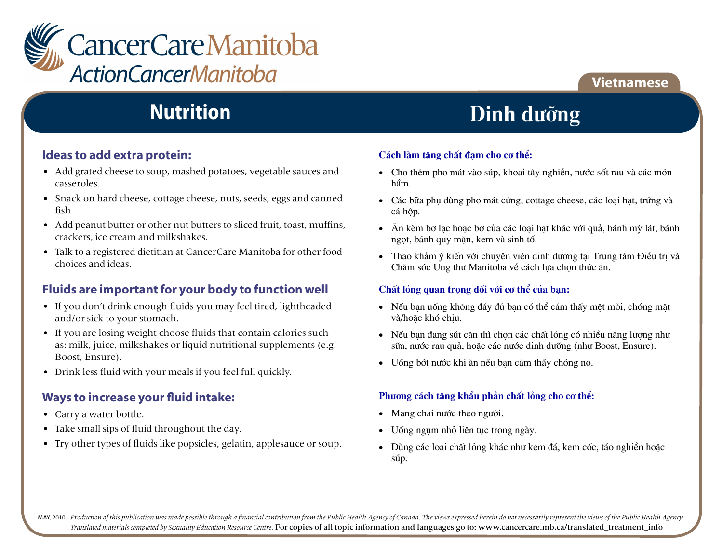

## **Nutrition**

### **Ideas to add extra protein:**

- Add grated cheese to soup, mashed potatoes, vegetable sauces and casseroles.
- Snack on hard cheese, cottage cheese, nuts, seeds, eggs and canned fish.
- Add peanut butter or other nut butters to sliced fruit, toast, muffins, crackers, ice cream and milkshakes.
- Talk to a registered dietitian at CancerCare Manitoba for other food choices and ideas.

### **Fluids are important for your body to function well**

- If you don't drink enough fluids you may feel tired, lightheaded and/or sick to your stomach.
- If you are losing weight choose fluids that contain calories such as: milk, juice, milkshakes or liquid nutritional supplements (e.g. Boost, Ensure).
- Drink less fluid with your meals if you feel full quickly.

### **Ways to increase your fluid intake:**

- Carry a water bottle.
- Take small sips of fluid throughout the day.
- Try other types of fluids like popsicles, gelatin, applesauce or soup.

## Dinh dưỡng

**Vietnamese**

#### Cách làm tăng chất đam cho cơ thể:

- Cho thêm pho mát vào súp, khoai tây nghiền, nước sốt rau và các món  $\hat{\mathsf{h}}$ âm. hầm.
- Các bữa phụ dùng pho mát cứng, cottage cheese, các loại hạt, trứng và  $\,c\acute{a}$  hôp.  $\,$ cá hộp.
- Ăn kèm bơ lạc hoặc bơ của các loại hạt khác với quả, bánh mỳ lát, bánh ngọt, bánh quy mặn, kem và sinh tố.
- Thao khảm ý kiến với chuyên viên dinh dương tại Trung tâm Điều trị và Chăm sóc Ung thu Manitoba về cách lựa chọn thức ăn.

#### **Chất lỏng quan trong đối với cơ thể của ban:**

- Nếu bạn uống không đầy đủ bạn có thể cảm thấy mệt mỏi, chóng mặt và/hoặc khó chịu.
- Nếu bạn đang sút cân thì chọn các chất lỏng có nhiều năng lượng như sữa, nước rau quả, hoặc các nước dinh dưỡng (như Boost, Ensure).
- Uống bớt nước khi ăn nếu bạn cảm thấy chóng no.

### Phương cách tăng khẩu phần chất lỏng cho cơ thể:

- Mang chai nuớc theo người.
- Uống ngụm nhỏ liên tục trong ngày.
- Dùng các loại chất lỏng khác như kem đá, kem cốc, táo nghiền hoặc sóp. **GÆp chuyªn viªn Dinh d−ìng nÕu cã vÊn ®Ò vÒ:**